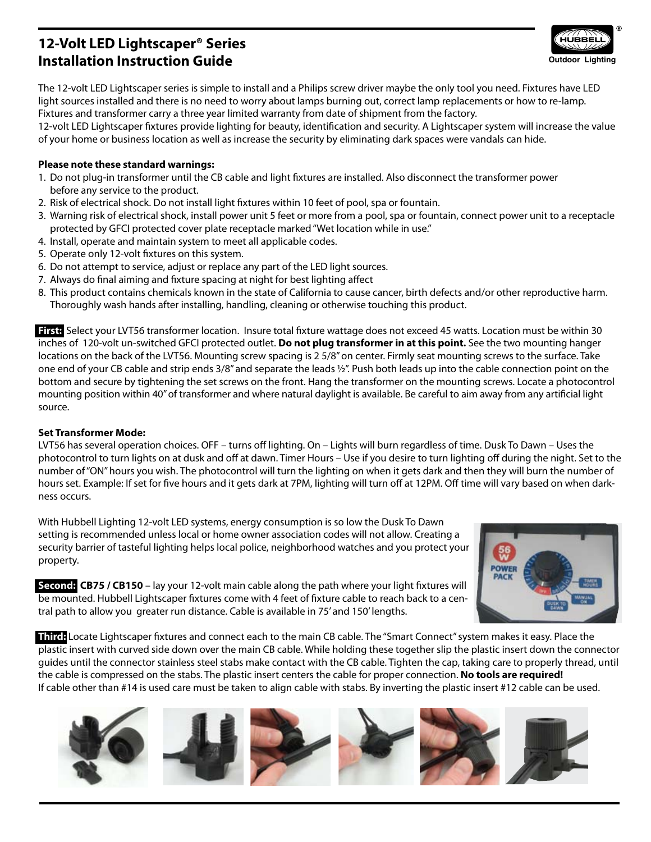# **12-Volt LED Lightscaper® Series Installation Instruction Guide**

**Outdoor Lighting**

The 12-volt LED Lightscaper series is simple to install and a Philips screw driver maybe the only tool you need. Fixtures have LED light sources installed and there is no need to worry about lamps burning out, correct lamp replacements or how to re-lamp. Fixtures and transformer carry a three year limited warranty from date of shipment from the factory.

12-volt LED Lightscaper fixtures provide lighting for beauty, identification and security. A Lightscaper system will increase the value of your home or business location as well as increase the security by eliminating dark spaces were vandals can hide.

### **Please note these standard warnings:**

- 1. Do not plug-in transformer until the CB cable and light fixtures are installed. Also disconnect the transformer power before any service to the product.
- 2. Risk of electrical shock. Do not install light fixtures within 10 feet of pool, spa or fountain.
- 3. Warning risk of electrical shock, install power unit 5 feet or more from a pool, spa or fountain, connect power unit to a receptacle protected by GFCI protected cover plate receptacle marked "Wet location while in use."
- 4. Install, operate and maintain system to meet all applicable codes.
- 5. Operate only 12-volt fixtures on this system.
- 6. Do not attempt to service, adjust or replace any part of the LED light sources.
- 7. Always do final aiming and fixture spacing at night for best lighting affect
- 8. This product contains chemicals known in the state of California to cause cancer, birth defects and/or other reproductive harm. Thoroughly wash hands after installing, handling, cleaning or otherwise touching this product.

FIRSH Select your LVT56 transformer location. Insure total fixture wattage does not exceed 45 watts. Location must be within 30 inches of 120-volt un-switched GFCI protected outlet. **Do not plug transformer in at this point.** See the two mounting hanger locations on the back of the LVT56. Mounting screw spacing is 2 5/8" on center. Firmly seat mounting screws to the surface. Take one end of your CB cable and strip ends 3/8" and separate the leads ½". Push both leads up into the cable connection point on the bottom and secure by tightening the set screws on the front. Hang the transformer on the mounting screws. Locate a photocontrol mounting position within 40" of transformer and where natural daylight is available. Be careful to aim away from any artificial light source.

#### **Set Transformer Mode:**

LVT56 has several operation choices. OFF – turns off lighting. On – Lights will burn regardless of time. Dusk To Dawn – Uses the photocontrol to turn lights on at dusk and off at dawn. Timer Hours – Use if you desire to turn lighting off during the night. Set to the number of "ON" hours you wish. The photocontrol will turn the lighting on when it gets dark and then they will burn the number of hours set. Example: If set for five hours and it gets dark at 7PM, lighting will turn off at 12PM. Off time will vary based on when darkness occurs.

With Hubbell Lighting 12-volt LED systems, energy consumption is so low the Dusk To Dawn setting is recommended unless local or home owner association codes will not allow. Creating a security barrier of tasteful lighting helps local police, neighborhood watches and you protect your property.



**Second: CB75 / CB150** – lay your 12-volt main cable along the path where your light fixtures will be mounted. Hubbell Lightscaper fixtures come with 4 feet of fixture cable to reach back to a central path to allow you greater run distance. Cable is available in 75' and 150' lengths.

**Third:** Locate Lightscaper fixtures and connect each to the main CB cable. The "Smart Connect" system makes it easy. Place the plastic insert with curved side down over the main CB cable. While holding these together slip the plastic insert down the connector guides until the connector stainless steel stabs make contact with the CB cable. Tighten the cap, taking care to properly thread, until the cable is compressed on the stabs. The plastic insert centers the cable for proper connection. **No tools are required!** If cable other than #14 is used care must be taken to align cable with stabs. By inverting the plastic insert #12 cable can be used.